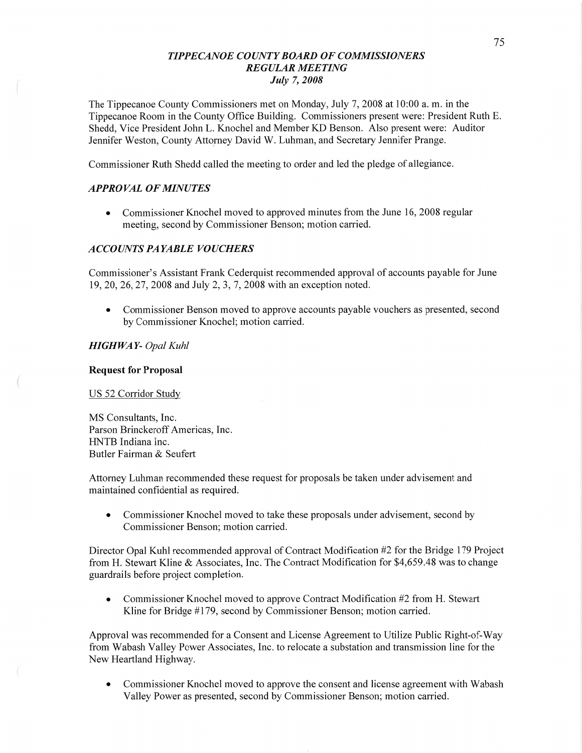## *T IPPECANOE COUNT Y BOARD* OF *COMMISSIONERS REGULAR MEETING July* 7, *2008*

The Tippecanoe County Commissioners met on Monday, July 7, 2008 at 10:00 a. m. in the Tippecanoe Room in the County Office Building. Commissioners present were: President Ruth E. Shedd, Vice President John L. Knochel and Member KD Benson. Also present were: Auditor Jennifer Weston, County Attorney David W. Luhman, and Secretary Jennifer Prange.

Commissioner Ruth Shedd called the meeting to order and led the pledge of allegiance.

## *APPROVAL* OF *MINUTES*

• Commissioner Knochel moved to approved minutes from the June 16, 2008 regular meeting, second by Commissioner Benson; motion carried.

#### *ACCOUNTS* PA *YABLE VOUCHERS*

Commissioner's Assistant Frank Cederquist recommended approval of accounts payable for June 19, 20, 26, 27, 2008 and July 2, 3, 7, 2008 with an exception noted.

**0** Commissioner Benson moved to approve accounts payable vouchers as presented, second by Commissioner Knochel; motion carried.

## *HIGHWA* Y- *Opal Kuhl*

#### **Request** for **Proposal**

US 52 Corridor Study

MS Consultants, Inc. Parson Brinckerofi Americas, Inc. HNTB Indiana **Inc.**  Butler Fairman & Seufert

Attorney Luhman recommended these request for proposals be taken under advisement and maintained confidential as required.

• Commissioner Knochel moved to take these proposals under advisement, second by Commissioner Benson; motion carried.

Director Opal Kuhl recommended approval of Contract Modification #2 for the Bridge 179 Project from H. Stewart Kline & Associates, Inc. The Contract Modification for \$4,659.48 was to change guardrails before project completion.

**0** Commissioner Knochel moved to approve Contract Modification #2 from H. Stewart Kline for Bridge #179, second by Commissioner Benson; motion carried.

Approval was recommended for a Consent and License Agreement to Utilize Public Right-of-Way from Wabash Valley Power Associates, Inc. to relocate a substation and transmission line for the New Heartland Highway.

**0** Commissioner Knochel moved to approve the consent and license agreement with Wabash Valley Power as presented, second by Commissioner Benson; motion carried.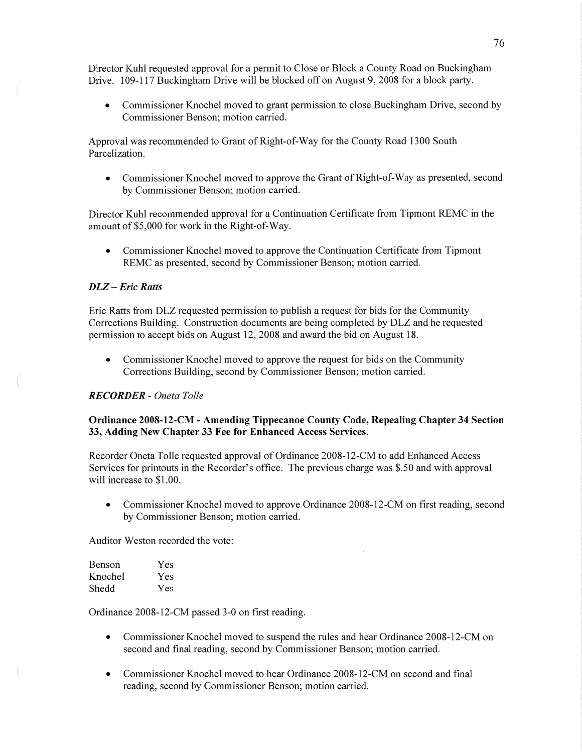Director Kuhl requested approval for a permit to Close or Block a County Road on Buckingham Drive. 109-117 Buckingham Drive will be blocked off on August 9, 2008 for a block party.

• Commissioner Knochel moved to grant permission to close Buckingham Drive, second by Commissioner Benson; motion carried.

Approval was recommended to Grant of Right-of—Way for the County Road 1300 South Parcelization.

• Commissioner Knochel moved to approve the Grant of Right-of-Way as presented, second by Commissioner Benson; motion carried.

Director Kuhl recommended approval for a Continuation Certificate from Tipmont REMC in the amount of \$5,000 for work in the Right-of—Way.

**0** Commissioner Knochel moved to approve the Continuation Certificate from Tipmont REMC as presented, second by Commissioner Benson; motion carried.

#### DLZ **—** *Eric Ratts*

Eric Ratts from DLZ requested permission to publish a request for bids for the Community Corrections Building. Construction documents are being completed by DLZ and he requested permission to accept bids on August 12, 2008 and award the bid on August 18.

• Commissioner Knochel moved to approve the request for bids on the Community Corrections Building, second by Commissioner Benson; motion carried.

#### *RECORDER - Oneta T olle*

### Ordinance **2008-12-CM** *-* Amending **Tippecanoe County** Code, **Repealing Chapter** 34 Section 33, Adding New Chapter 33 Fee for Enhanced Access Services.

Recorder Oneta Tolle requested approval of Ordinance 2008—12—CM to add Enhanced Access Services for printouts in the Recorder's office. The previous charge was \$.50 and with approval will increase to \$1.00.

• Commissioner Knochel moved to approve Ordinance 2008-12-CM on first reading, second by Commissioner Benson; motion carried.

Auditor Weston recorded the vote:

| Benson  | Yes |
|---------|-----|
| Knochel | Yes |
| Shedd   | Yes |

Ordinance 2008-12-CM passed 3-0 on first reading.

- **0** Commissioner Knochel moved to suspend the rules and hear Ordinance 2008-12-CM on second and final reading, second by Commissioner Benson; motion carried.
- **0** Commissioner Knochel moved to hear Ordinance 2008-12-CM on second and final reading, second by Commissioner Benson; motion carried.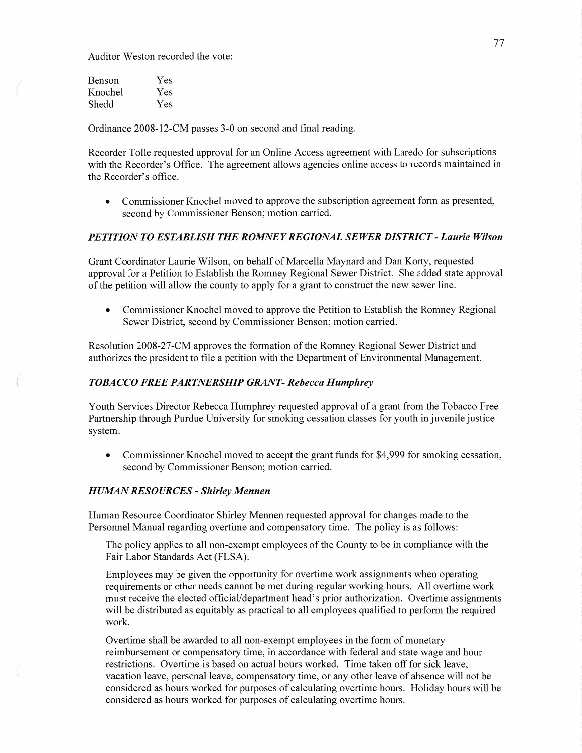Auditor Weston recorded the vote:

| Benson  | Yes |
|---------|-----|
| Knochel | Yes |
| Shedd   | Yes |

Ordinance 2008-12-CM passes 3-0 on second and **final** reading.

Recorder Tolle requested approval for an Online Access agreement with Laredo for subscriptions with the Recorder's Office. The agreement allows agencies online access to records maintained in the Recorder's office.

**0** Commissioner Knochel moved to approve the subscription agreement form as presented, second by Commissioner Benson; motion carried.

### **PETITION TO ESTABLISH THE ROMNEY REGIONAL SEWER DISTRICT - Laurie Wilson**

Grant Coordinator Laurie Wilson, on behalf of Marcella Maynard and Dan Korty, requested approval for **a** Petition to Establish the Romney Regional Sewer District. She added state approval of the petition will allow the county to apply for a grant to construct the new sewer line.

**0** Commissioner Knochel moved to approve the Petition to Establish the Romney Regional Sewer District, second by Commissioner Benson; motion carried.

Resolution 2008-27-CM approves the formation of the Romney Regional Sewer District and authorizes the president to file a petition with the Department of Environmental Management.

#### *TOBACCO FREE PARTNERSHIP GRAN T - Rebecca Humphrey*

Youth Services Director Rebecca Humphrey requested approval of a grant from the Tobacco Free Partnership through Purdue University for smoking cessation classes for youth in juvenile justice system.

**0** Commissioner Knochel moved to accept the grant funds for \$4,999 for smoking cessation, second by Commissioner Benson; motion carried.

#### *HUMAN RESOURCES - Shirley Mennen*

Human Resource Coordinator Shirley **Mennen** requested approval for changes made to the Personnel Manual regarding overtime and compensatory time. The policy is as follows:

The policy applies to all non-exempt employees of the County to be in compliance with the Fair Labor Standards Act (FLSA).

Employees may be given the opportunity for overtime work assignments when operating requirements or other needs cannot be met during regular working hours. All overtime work must receive the elected official/department head's prior authorization. Overtime assignments will be distributed as equitably as practical to all employees qualified to perform the required work.

Overtime shall be awarded to all non-exempt employees in the form of monetary reimbursement or compensatory time, in accordance with federal and state wage and hour restrictions. Overtime is based on actual hours worked. Time taken off for sick leave, vacation leave, personal leave, compensatory time, or any other leave of absence will not be considered as hours worked for purposes of calculating overtime hours. Holiday hours will be considered as hours worked for purposes of calculating overtime hours.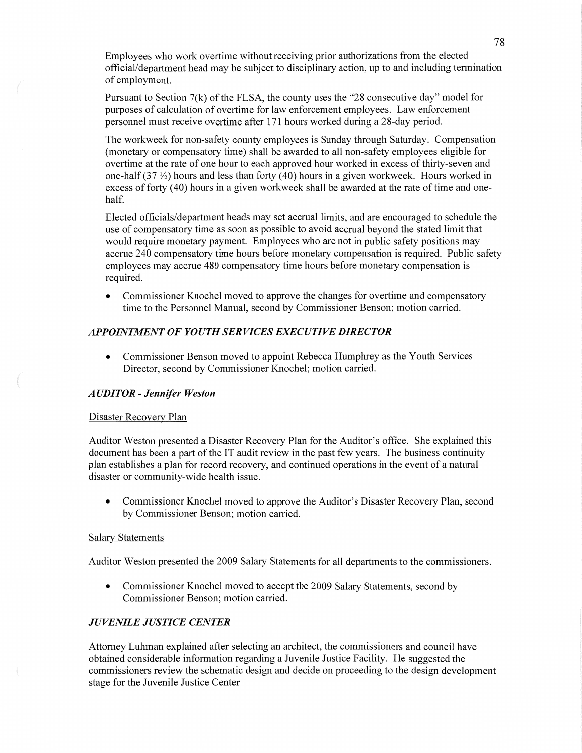Employees who work overtime without receiving prior authorizations from the elected official/department head may be subject to disciplinary action, up to and including termination of employment.

Pursuant to Section 7(k) of the FLSA, the county uses the "28 consecutive day" model for purposes of calculation of overtime for law enforcement employees. Law enforcement personnel must receive overtime after 171 hours worked during a 28-day period.

The workweek for non-safety county employees is Sunday through Saturday. Compensation (monetary or compensatory time) shall be awarded to all non-safety employees eligible for overtime at the rate of one hour to each approved hour worked in excess of thirty-seven and one-half  $(37 \frac{1}{2})$  hours and less than forty  $(40)$  hours in a given workweek. Hours worked in excess of forty (40) hours in a given workweek shall be awarded at the rate of time and onehalf.

Elected officials/department heads may set accrual limits, and are encouraged to schedule the use of compensatory time as soon as possible to avoid accrual beyond the stated limit that would require monetary **payment.** Employees who are not in public safety positions may accrue 240 compensatory time hours before monetary compensation is required. Public safety employees may accrue 480 compensatory time hours before monetary compensation is required.

**0** Commissioner Knochel moved to approve the changes for overtime and compensatory time to the Personnel Manual, second by Commissioner Benson; motion carried.

## *APPOINTMENT* OF *YOUTH SERVICES EXECUTIVE DIRECTOR*

**0** Commissioner Benson moved to appoint Rebecca Humphrey as the Youth Services Director, second by Commissioner Knochel; motion carried.

## *AUDITOR - Jennifer Weston*

#### **Disaster Recovery Plan**

Auditor Weston presented **a** Disaster Recovery Plan for the Auditor's office. She explained this document has been a part of the IT audit review in the past few yeaxs. The **business** continuity plan establishes **a** plan for record recovery, and continued operations in the event of **a** natural disaster or community-wide health issue.

• Commissioner Knochel moved to approve the Auditor's Disaster Recovery Plan, second by Commissioner Benson; motion carried.

#### **Salary Statements**

Auditor Weston presented the 2009 Salary Statements for all departments to the commissioners.

**0** Commissioner Knochel moved to accept the 2009 Salary Statements, second by Commissioner Benson; motion carried.

#### *JUVENILE JUSTICE CENTER*

Attorney **Luhman** explained after selecting an architect, the commissioners and council **have**  obtained considerable information regarding a Juvenile Justice Facility. He suggested the commissioners review the schematic design and decide on proceeding to the design development stage for the Juvenile Justice Center.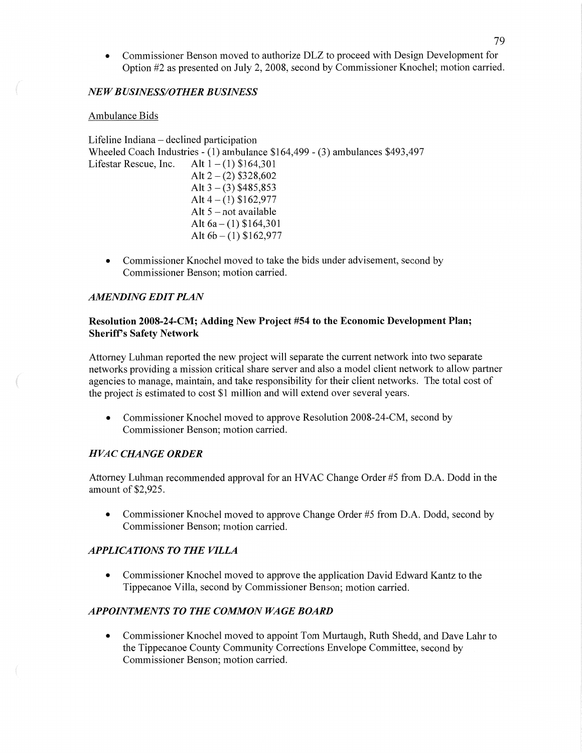**0** Commissioner Benson moved to authorize DLZ to proceed with Design Development for Option #2 as presented on July 2, 2008, second by Commissioner Knochel; motion carried.

# NE *W B USINESS/0 THER B USINESS*

# Ambulance Bids

Lifeline Indiana — declined participation Wheeled Coach Industries *-* (1) ambulance \$164,499 **—** (3) ambulances \$493,497 Lifestar Rescue, Inc. Alt  $1 - (1)$  \$164,301 Alt  $2 - (2)$  \$328,602 Alt  $3 - (3)$  \$485,853 Alt  $4 - (1)$  \$162,977 Alt 5 — not available Alt  $6a - (1)$  \$164,301 Alt 6b **—** (1) \$162,977

**0** Commissioner Knochel moved to take the bids under advisement, second by Commissioner Benson; motion carried.

# *AMENDING EDIT PLAN*

*m* A! "x

# Resolution **2008—24—CM;** Adding New **Project** #54 to the **Economic Development Plan;**  Sheriff's **Safety Network**

Attorney Luhman reported the new project will separate the current network into two separate networks providing a mission critical share server and also **a** model client network to allow partner agencies to manage, maintain, and take responsibility for their client networks. The total cost of the project is estimated to cost \$1 million and will extend over several years.

**0** Commissioner Knochel moved to approve Resolution 2008-24-CM, second by Commissioner Benson; motion carried.

# *H* VAC *CHANGE ORDER*

Attorney Luhman recommended approval for an **HVAC** Change Order #5 from D.A. Dodd in the amount of \$2,925.

**0** Commissioner Knochel moved to approve Change Order #5 from D.A. Dodd, second by Commissioner Benson; motion carried.

# **APPLICATIONS TO THE VILLA**

**0** Commissioner Knochel moved to approve the application David Edward Kantz to the Tippecanoe Villa, second by Commissioner Benson; motion carried.

# *APPOINTMENTS* TO THE *COMMON* WA GE *BOARD*

**0** Commissioner Knochel moved to appoint Tom Murtaugh, Ruth Shedd, and Dave Lahr to the Tippecanoe County Community Corrections Envelope Committee, second by Commissioner Benson; motion carried.